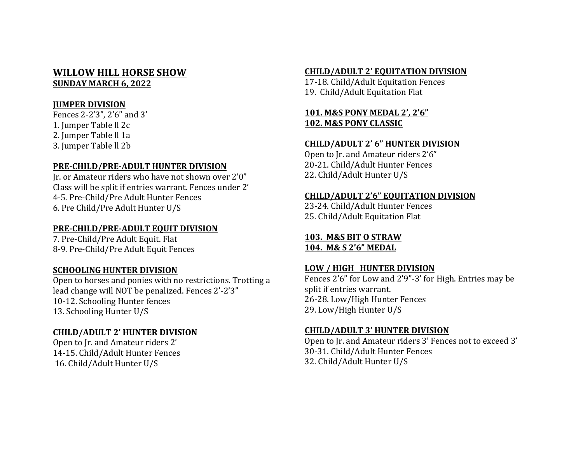# **WILLOW HILL HORSE SHOW SUNDAY MARCH 6, 2022**

## **JUMPER DIVISION**

Fences 2-2'3", 2'6" and 3' 1. Jumper Table II 2c 2. Jumper Table II 1a 3. Jumper Table ll 2b

#### **PRE-CHILD/PRE-ADULT HUNTER DIVISION**

Ir. or Amateur riders who have not shown over 2'0" Class will be split if entries warrant. Fences under 2' 4-5. Pre-Child/Pre Adult Hunter Fences 6. Pre Child/Pre Adult Hunter U/S

## **PRE-CHILD/PRE-ADULT EQUIT DIVISION**

7. Pre-Child/Pre Adult Equit. Flat 8-9. Pre-Child/Pre Adult Equit Fences

## **SCHOOLING HUNTER DIVISION**

Open to horses and ponies with no restrictions. Trotting a lead change will NOT be penalized. Fences 2'-2'3" 10-12. Schooling Hunter fences 13. Schooling Hunter U/S

#### **CHILD/ADULT 2' HUNTER DIVISION**

Open to Ir. and Amateur riders 2' 14-15. Child/Adult Hunter Fences 16. Child/Adult Hunter U/S

#### **CHILD/ADULT 2' EQUITATION DIVISION**

17-18. Child/Adult Equitation Fences 19. Child/Adult Equitation Flat

# **101. M&S PONY MEDAL 2', 2'6" 102. M&S PONY CLASSIC**

#### **CHILD/ADULT 2' 6" HUNTER DIVISION**

Open to Jr. and Amateur riders 2'6" 20-21. Child/Adult Hunter Fences 22. Child/Adult Hunter U/S

#### **CHILD/ADULT 2'6" EQUITATION DIVISION**

23-24. Child/Adult Hunter Fences 25. Child/Adult Equitation Flat

#### **103. M&S BIT O STRAW 104. M& S 2'6" MEDAL**

#### LOW / HIGH **HUNTER DIVISION**

Fences  $2'6''$  for Low and  $2'9''-3'$  for High. Entries may be split if entries warrant. 26-28. Low/High Hunter Fences 29. Low/High Hunter U/S

#### **CHILD/ADULT 3' HUNTER DIVISION**

Open to Jr. and Amateur riders 3' Fences not to exceed 3' 30-31. Child/Adult Hunter Fences 32. Child/Adult Hunter U/S